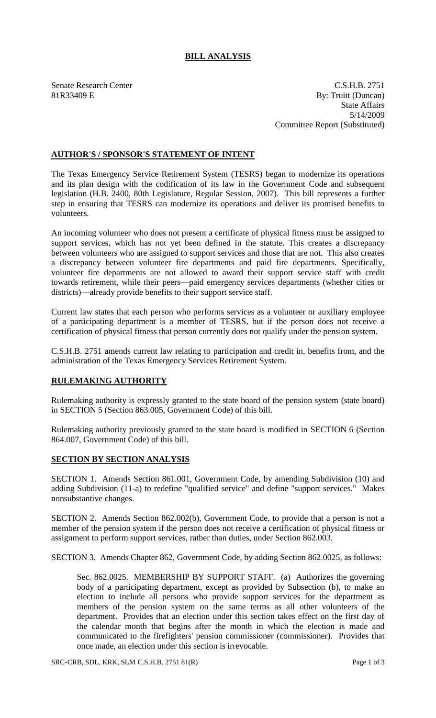## **BILL ANALYSIS**

Senate Research Center C.S.H.B. 2751 81R33409 E By: Truitt (Duncan) State Affairs 5/14/2009 Committee Report (Substituted)

## **AUTHOR'S / SPONSOR'S STATEMENT OF INTENT**

The Texas Emergency Service Retirement System (TESRS) began to modernize its operations and its plan design with the codification of its law in the Government Code and subsequent legislation (H.B. 2400, 80th Legislature, Regular Session, 2007). This bill represents a further step in ensuring that TESRS can modernize its operations and deliver its promised benefits to volunteers.

An incoming volunteer who does not present a certificate of physical fitness must be assigned to support services, which has not yet been defined in the statute. This creates a discrepancy between volunteers who are assigned to support services and those that are not. This also creates a discrepancy between volunteer fire departments and paid fire departments. Specifically, volunteer fire departments are not allowed to award their support service staff with credit towards retirement, while their peers—paid emergency services departments (whether cities or districts)—already provide benefits to their support service staff.

Current law states that each person who performs services as a volunteer or auxiliary employee of a participating department is a member of TESRS, but if the person does not receive a certification of physical fitness that person currently does not qualify under the pension system.

C.S.H.B. 2751 amends current law relating to participation and credit in, benefits from, and the administration of the Texas Emergency Services Retirement System.

## **RULEMAKING AUTHORITY**

Rulemaking authority is expressly granted to the state board of the pension system (state board) in SECTION 5 (Section 863.005, Government Code) of this bill.

Rulemaking authority previously granted to the state board is modified in SECTION 6 (Section 864.007, Government Code) of this bill.

## **SECTION BY SECTION ANALYSIS**

SECTION 1. Amends Section 861.001, Government Code, by amending Subdivision (10) and adding Subdivision (11-a) to redefine "qualified service" and define "support services." Makes nonsubstantive changes.

SECTION 2. Amends Section 862.002(b), Government Code, to provide that a person is not a member of the pension system if the person does not receive a certification of physical fitness or assignment to perform support services, rather than duties, under Section 862.003.

SECTION 3. Amends Chapter 862, Government Code, by adding Section 862.0025, as follows:

Sec. 862.0025. MEMBERSHIP BY SUPPORT STAFF. (a) Authorizes the governing body of a participating department, except as provided by Subsection (b), to make an election to include all persons who provide support services for the department as members of the pension system on the same terms as all other volunteers of the department. Provides that an election under this section takes effect on the first day of the calendar month that begins after the month in which the election is made and communicated to the firefighters' pension commissioner (commissioner). Provides that once made, an election under this section is irrevocable.

SRC-CRB, SDL, KRK, SLM C.S.H.B. 2751 81(R) Page 1 of 3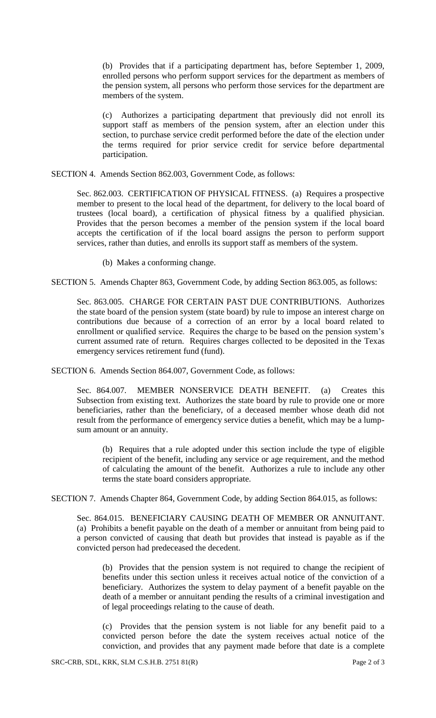(b) Provides that if a participating department has, before September 1, 2009, enrolled persons who perform support services for the department as members of the pension system, all persons who perform those services for the department are members of the system.

(c) Authorizes a participating department that previously did not enroll its support staff as members of the pension system, after an election under this section, to purchase service credit performed before the date of the election under the terms required for prior service credit for service before departmental participation.

SECTION 4. Amends Section 862.003, Government Code, as follows:

Sec. 862.003. CERTIFICATION OF PHYSICAL FITNESS. (a) Requires a prospective member to present to the local head of the department, for delivery to the local board of trustees (local board), a certification of physical fitness by a qualified physician. Provides that the person becomes a member of the pension system if the local board accepts the certification of if the local board assigns the person to perform support services, rather than duties, and enrolls its support staff as members of the system.

(b) Makes a conforming change.

SECTION 5. Amends Chapter 863, Government Code, by adding Section 863.005, as follows:

Sec. 863.005. CHARGE FOR CERTAIN PAST DUE CONTRIBUTIONS. Authorizes the state board of the pension system (state board) by rule to impose an interest charge on contributions due because of a correction of an error by a local board related to enrollment or qualified service. Requires the charge to be based on the pension system's current assumed rate of return. Requires charges collected to be deposited in the Texas emergency services retirement fund (fund).

SECTION 6. Amends Section 864.007, Government Code, as follows:

Sec. 864.007. MEMBER NONSERVICE DEATH BENEFIT. (a) Creates this Subsection from existing text. Authorizes the state board by rule to provide one or more beneficiaries, rather than the beneficiary, of a deceased member whose death did not result from the performance of emergency service duties a benefit, which may be a lumpsum amount or an annuity.

(b) Requires that a rule adopted under this section include the type of eligible recipient of the benefit, including any service or age requirement, and the method of calculating the amount of the benefit. Authorizes a rule to include any other terms the state board considers appropriate.

SECTION 7. Amends Chapter 864, Government Code, by adding Section 864.015, as follows:

Sec. 864.015. BENEFICIARY CAUSING DEATH OF MEMBER OR ANNUITANT. (a) Prohibits a benefit payable on the death of a member or annuitant from being paid to a person convicted of causing that death but provides that instead is payable as if the convicted person had predeceased the decedent.

(b) Provides that the pension system is not required to change the recipient of benefits under this section unless it receives actual notice of the conviction of a beneficiary. Authorizes the system to delay payment of a benefit payable on the death of a member or annuitant pending the results of a criminal investigation and of legal proceedings relating to the cause of death.

(c) Provides that the pension system is not liable for any benefit paid to a convicted person before the date the system receives actual notice of the conviction, and provides that any payment made before that date is a complete